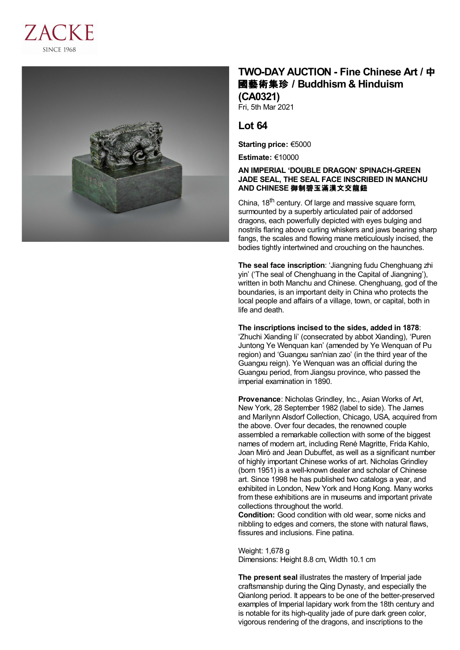



## **TWO-DAY AUCTION - Fine Chinese Art /** 中 國藝術集珍 **/Buddhism & Hinduism (CA0321)**

Fri, 5th Mar 2021

## **Lot 64**

**Starting price:** €5000

**Estimate:** €10000

## **AN IMPERIAL 'DOUBLE DRAGON' SPINACH-GREEN JADE SEAL, THE SEAL FACE INSCRIBED IN MANCHU AND CHINESE** 御制碧玉滿漢文交龍鈕

China, 18<sup>th</sup> century. Of large and massive square form, surmounted by a superbly articulated pair of addorsed dragons, each powerfully depicted with eyes bulging and nostrils flaring above curling whiskers and jaws bearing sharp fangs, the scales and flowing mane meticulously incised, the bodies tightly intertwined and crouching on the haunches.

**The seal face inscription**: 'Jiangning fudu Chenghuang zhi yin' ('The seal of Chenghuang in the Capital of Jiangning'), written in both Manchu and Chinese. Chenghuang, god of the boundaries, is an important deity in China who protects the local people and affairs of a village, town, or capital, both in life and death.

**The inscriptions incised to the sides, added in 1878**: 'Zhuchi Xianding li' (consecrated by abbot Xianding), 'Puren Juntong Ye Wenquan kan' (amended by Ye Wenquan of Pu region) and 'Guangxu san'nian zao' (in the third year of the Guangxu reign). Ye Wenquan was an official during the Guangxu period, from Jiangsu province, who passed the imperial examination in 1890.

**Provenance**: Nicholas Grindley, Inc., Asian Works of Art, New York, 28 September 1982 (label to side). The James and Marilynn Alsdorf Collection, Chicago, USA, acquired from the above. Over four decades, the renowned couple assembled a remarkable collection with some of the biggest names of modern art, including René Magritte, Frida Kahlo, Joan Miró and Jean Dubuffet, as well as a significant number of highly important Chinese works of art. Nicholas Grindley (born 1951) is a well-known dealer and scholar of Chinese art. Since 1998 he has published two catalogs a year, and exhibited in London, New York and Hong Kong. Many works from these exhibitions are in museums and important private collections throughout the world.

**Condition:** Good condition with old wear, some nicks and nibbling to edges and corners, the stone with natural flaws, fissures and inclusions. Fine patina.

Weight: 1,678 g Dimensions: Height 8.8 cm, Width 10.1 cm

**The present seal** illustrates the mastery of Imperial jade craftsmanship during the Qing Dynasty, and especially the Qianlong period. It appears to be one of the better-preserved examples of Imperial lapidary work from the 18th century and is notable for its high-quality jade of pure dark green color, vigorous rendering of the dragons, and inscriptions to the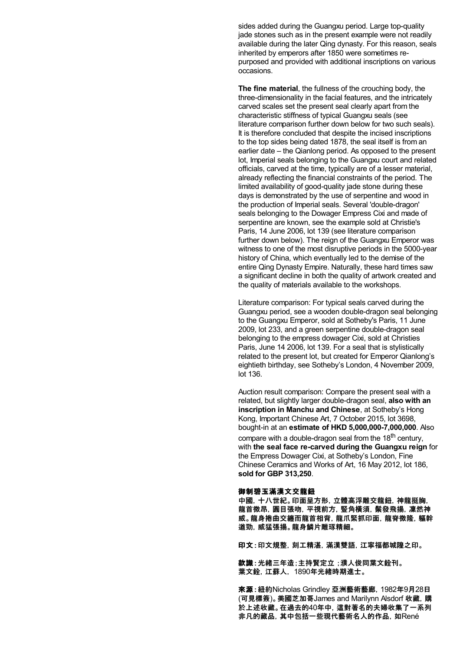sides added during the Guangxu period. Large top-quality jade stones such as in the present example were not readily available during the later Qing dynasty. For this reason, seals inherited by emperors after 1850 were sometimes repurposed and provided with additional inscriptions on various occasions.

**The fine material**, the fullness of the crouching body, the three-dimensionality in the facial features, and the intricately carved scales set the present seal clearly apart from the characteristic stiffness of typical Guangxu seals (see literature comparison further down below for two such seals). It is therefore concluded that despite the incised inscriptions to the top sides being dated 1878, the seal itself is from an earlier date – the Qianlong period. As opposed to the present lot, Imperial seals belonging to the Guangxu court and related officials, carved at the time, typically are of a lesser material, already reflecting the financial constraints of the period. The limited availability of good-quality jade stone during these days is demonstrated by the use of serpentine and wood in the production of Imperial seals. Several 'double-dragon' seals belonging to the Dowager Empress Cixi and made of serpentine are known, see the example sold at Christie's Paris, 14 June 2006, lot 139 (see literature comparison further down below). The reign of the Guangxu Emperor was witness to one of the most disruptive periods in the 5000-year history of China, which eventually led to the demise of the entire Qing Dynasty Empire. Naturally, these hard times saw a significant decline in both the quality of artwork created and the quality of materials available to the workshops.

Literature comparison: For typical seals carved during the Guangxu period, see a wooden double-dragon seal belonging to the Guangxu Emperor, sold at Sotheby's Paris, 11 June 2009, lot 233, and a green serpentine double-dragon seal belonging to the empress dowager Cixi, sold at Christies Paris, June 14 2006, lot 139. For a seal that is stylistically related to the present lot, but created for Emperor Qianlong's eightieth birthday, see Sotheby's London, 4 November 2009, lot 136.

Auction result comparison: Compare the present seal with a related, but slightly larger double-dragon seal, **also with an inscription in Manchu and Chinese**, at Sotheby's Hong Kong, Important Chinese Art, 7 October 2015, lot 3698, bought-in at an **estimate of HKD 5,000,000-7,000,000**. Also compare with a double-dragon seal from the 18<sup>th</sup> century, with **the seal face re-carved during the Guangxu reign** for the Empress Dowager Cixi, at Sotheby's London, Fine Chinese Ceramics and Works of Art, 16 May 2012, lot 186, **sold for GBP 313,250**.

## 御制碧玉滿漢文交龍鈕

中國,十八世紀。印面呈方形,立體高浮雕交龍鈕,神龍挺胸, 龍首微昂,圓目張吻,平視前方,豎角橫須,鬃發飛揚,凜然神 威。龍身捲曲交纏而龍首相背,龍爪緊抓印面,龍脊微隆,軀幹 遒勁,威猛張揚。龍身鱗片雕琢精細。

印文:印文規整,刻工精湛,滿漢雙語,江寧福都城隍之印。

款識:光緒三年造;主持腎定立;濮人俊同葉文鈴刊。 葉文銓,江蘇人, 1890年光緒時期進士。

來源:紐約Nicholas Grindley 亞洲藝術藝廊,1982年9月28日 (可見標簽)。美國芝加哥James and Marilynn Alsdorf 收藏,購 於上述收藏。在過去的40年中,這對著名的夫婦收集了一系列 非凡的藏品,其中包括一些現代藝術名人的作品,如René